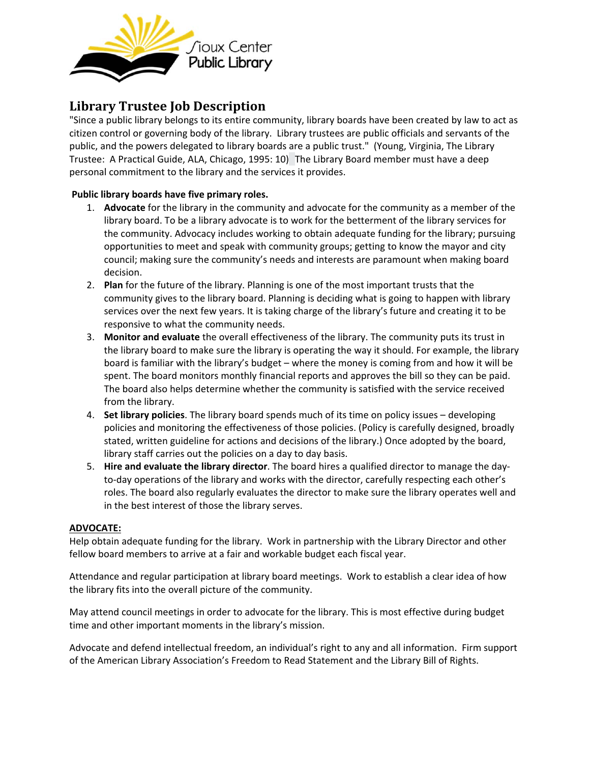

# **Library Trustee Job Description**

"Since a public library belongs to its entire community, library boards have been created by law to act as citizen control or governing body of the library. Library trustees are public officials and servants of the public, and the powers delegated to library boards are a public trust." (Young, Virginia, The Library Trustee: A Practical Guide, ALA, Chicago, 1995: 10)The Library Board member must have a deep personal commitment to the library and the services it provides.

## **Public library boards have five primary roles.**

- 1. **Advocate** for the library in the community and advocate for the community as a member of the library board. To be a library advocate is to work for the betterment of the library services for the community. Advocacy includes working to obtain adequate funding for the library; pursuing opportunities to meet and speak with community groups; getting to know the mayor and city council; making sure the community's needs and interests are paramount when making board decision.
- 2. **Plan** for the future of the library. Planning is one of the most important trusts that the community gives to the library board. Planning is deciding what is going to happen with library services over the next few years. It is taking charge of the library's future and creating it to be responsive to what the community needs.
- 3. **Monitor and evaluate** the overall effectiveness of the library. The community puts its trust in the library board to make sure the library is operating the way it should. For example, the library board is familiar with the library's budget – where the money is coming from and how it will be spent. The board monitors monthly financial reports and approves the bill so they can be paid. The board also helps determine whether the community is satisfied with the service received from the library.
- 4. **Set library policies**. The library board spends much of its time on policy issues developing policies and monitoring the effectiveness of those policies. (Policy is carefully designed, broadly stated, written guideline for actions and decisions of the library.) Once adopted by the board, library staff carries out the policies on a day to day basis.
- 5. **Hire and evaluate the library director**. The board hires a qualified director to manage the dayto-day operations of the library and works with the director, carefully respecting each other's roles. The board also regularly evaluates the director to make sure the library operates well and in the best interest of those the library serves.

## **ADVOCATE:**

Help obtain adequate funding for the library. Work in partnership with the Library Director and other fellow board members to arrive at a fair and workable budget each fiscal year.

Attendance and regular participation at library board meetings. Work to establish a clear idea of how the library fits into the overall picture of the community.

May attend council meetings in order to advocate for the library. This is most effective during budget time and other important moments in the library's mission.

Advocate and defend intellectual freedom, an individual's right to any and all information. Firm support of the American Library Association's Freedom to Read Statement and the Library Bill of Rights.